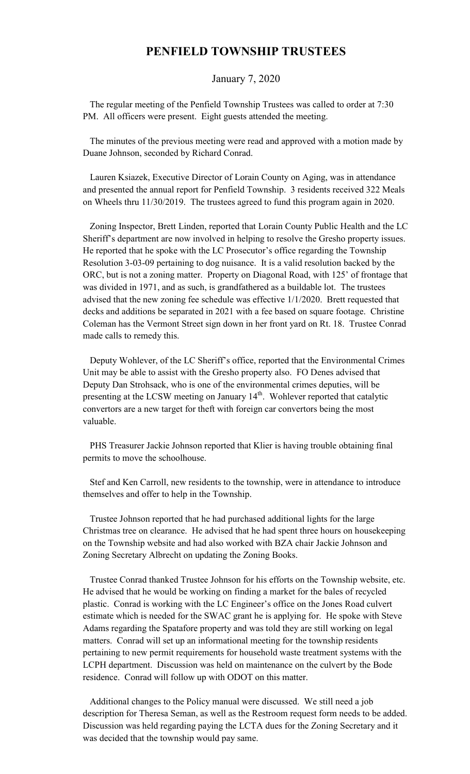## **PENFIELD TOWNSHIP TRUSTEES**

## January 7, 2020

 The regular meeting of the Penfield Township Trustees was called to order at 7:30 PM. All officers were present. Eight guests attended the meeting.

 The minutes of the previous meeting were read and approved with a motion made by Duane Johnson, seconded by Richard Conrad.

 Lauren Ksiazek, Executive Director of Lorain County on Aging, was in attendance and presented the annual report for Penfield Township. 3 residents received 322 Meals on Wheels thru 11/30/2019. The trustees agreed to fund this program again in 2020.

 Zoning Inspector, Brett Linden, reported that Lorain County Public Health and the LC Sheriff's department are now involved in helping to resolve the Gresho property issues. He reported that he spoke with the LC Prosecutor's office regarding the Township Resolution 3-03-09 pertaining to dog nuisance. It is a valid resolution backed by the ORC, but is not a zoning matter. Property on Diagonal Road, with 125' of frontage that was divided in 1971, and as such, is grandfathered as a buildable lot. The trustees advised that the new zoning fee schedule was effective 1/1/2020. Brett requested that decks and additions be separated in 2021 with a fee based on square footage. Christine Coleman has the Vermont Street sign down in her front yard on Rt. 18. Trustee Conrad made calls to remedy this.

 Deputy Wohlever, of the LC Sheriff's office, reported that the Environmental Crimes Unit may be able to assist with the Gresho property also. FO Denes advised that Deputy Dan Strohsack, who is one of the environmental crimes deputies, will be presenting at the LCSW meeting on January  $14<sup>th</sup>$ . Wohlever reported that catalytic convertors are a new target for theft with foreign car convertors being the most valuable.

 PHS Treasurer Jackie Johnson reported that Klier is having trouble obtaining final permits to move the schoolhouse.

 Stef and Ken Carroll, new residents to the township, were in attendance to introduce themselves and offer to help in the Township.

 Trustee Johnson reported that he had purchased additional lights for the large Christmas tree on clearance. He advised that he had spent three hours on housekeeping on the Township website and had also worked with BZA chair Jackie Johnson and Zoning Secretary Albrecht on updating the Zoning Books.

 Trustee Conrad thanked Trustee Johnson for his efforts on the Township website, etc. He advised that he would be working on finding a market for the bales of recycled plastic. Conrad is working with the LC Engineer's office on the Jones Road culvert estimate which is needed for the SWAC grant he is applying for. He spoke with Steve Adams regarding the Spatafore property and was told they are still working on legal matters. Conrad will set up an informational meeting for the township residents pertaining to new permit requirements for household waste treatment systems with the LCPH department. Discussion was held on maintenance on the culvert by the Bode residence. Conrad will follow up with ODOT on this matter.

 Additional changes to the Policy manual were discussed. We still need a job description for Theresa Seman, as well as the Restroom request form needs to be added. Discussion was held regarding paying the LCTA dues for the Zoning Secretary and it was decided that the township would pay same.